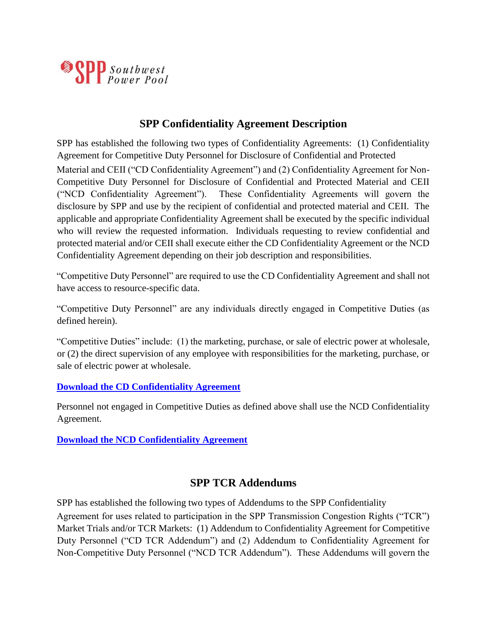## SPP Southwest

## **SPP Confidentiality Agreement Description**

SPP has established the following two types of Confidentiality Agreements: (1) Confidentiality Agreement for Competitive Duty Personnel for Disclosure of Confidential and Protected Material and CEII ("CD Confidentiality Agreement") and (2) Confidentiality Agreement for Non-Competitive Duty Personnel for Disclosure of Confidential and Protected Material and CEII ("NCD Confidentiality Agreement"). These Confidentiality Agreements will govern the disclosure by SPP and use by the recipient of confidential and protected material and CEII. The applicable and appropriate Confidentiality Agreement shall be executed by the specific individual who will review the requested information. Individuals requesting to review confidential and protected material and/or CEII shall execute either the CD Confidentiality Agreement or the NCD Confidentiality Agreement depending on their job description and responsibilities.

"Competitive Duty Personnel" are required to use the CD Confidentiality Agreement and shall not have access to resource-specific data.

"Competitive Duty Personnel" are any individuals directly engaged in Competitive Duties (as defined herein).

"Competitive Duties" include: (1) the marketing, purchase, or sale of electric power at wholesale, or (2) the direct supervision of any employee with responsibilities for the marketing, purchase, or sale of electric power at wholesale.

## **[Download the CD Confidentiality Agreement](http://www.spp.org/Documents/19778/Confidentiality_Agreement_CD_-_FINAL_5-17-13.pdf)**

Personnel not engaged in Competitive Duties as defined above shall use the NCD Confidentiality Agreement.

**[Download the NCD Confidentiality Agreement](http://www.spp.org/Documents/19779/Confidentiality_Agreement_NCD_-_FINAL_5-17-13.pdf)**

## **SPP TCR Addendums**

SPP has established the following two types of Addendums to the SPP Confidentiality Agreement for uses related to participation in the SPP Transmission Congestion Rights ("TCR") Market Trials and/or TCR Markets: (1) Addendum to Confidentiality Agreement for Competitive Duty Personnel ("CD TCR Addendum") and (2) Addendum to Confidentiality Agreement for Non-Competitive Duty Personnel ("NCD TCR Addendum"). These Addendums will govern the